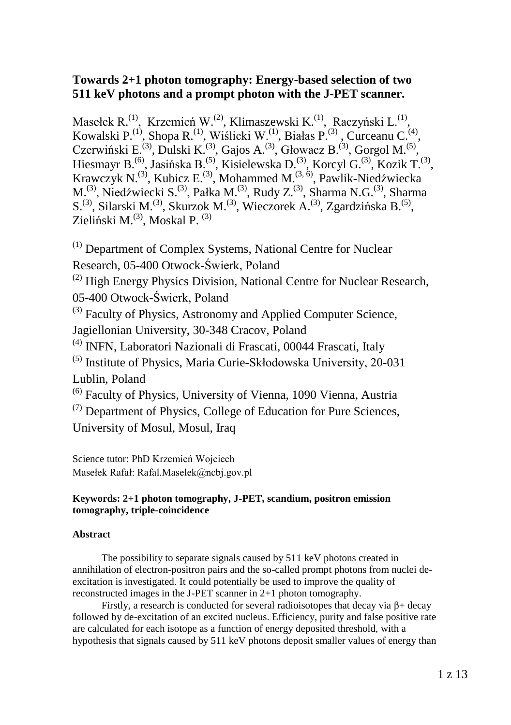## **Towards 2+1 photon tomography: Energy-based selection of two 511 keV photons and a prompt photon with the J-PET scanner.**

Masełek R.<sup>(1)</sup>, Krzemień W.<sup>(2)</sup>, Klimaszewski K.<sup>(1)</sup>, Raczyński L.<sup>(1)</sup>, Kowalski P.<sup>(1)</sup>, Shopa R.<sup>(1)</sup>, Wiślicki W.<sup>(1)</sup>, Białas P.<sup>(3)</sup>, Curceanu C.<sup>(4)</sup>, Czerwiński E.<sup>(3)</sup>, Dulski K.<sup>(3)</sup>, Gajos A.<sup>(3)</sup>, Głowacz B.<sup>(3)</sup>, Gorgol M.<sup>(5)</sup>, Hiesmayr B.<sup>(6)</sup>, Jasińska B.<sup>(5)</sup>, Kisielewska D.<sup>(3)</sup>, Korcyl G.<sup>(3)</sup>, Kozik T.<sup>(3)</sup>, Krawczyk N.<sup>(3)</sup>, Kubicz E.<sup>(3)</sup>, Mohammed M.<sup>(3, 6)</sup>, Pawlik-Niedźwiecka M.<sup>(3)</sup>, Niedźwiecki S.<sup>(3)</sup>, Pałka M.<sup>(3)</sup>, Rudy Z.<sup>(3)</sup>, Sharma N.G.<sup>(3)</sup>, Sharma S.<sup>(3)</sup>, Silarski M.<sup>(3)</sup>, Skurzok M.<sup>(3)</sup>, Wieczorek A.<sup>(3)</sup>, Zgardzińska B.<sup>(5)</sup>, Zieliński M.<sup>(3)</sup>, Moskal P.<sup>(3)</sup>

(1) Department of Complex Systems, National Centre for Nuclear Research, 05-400 Otwock-Świerk, Poland

<sup>(2)</sup> High Energy Physics Division, National Centre for Nuclear Research, 05-400 Otwock-Świerk, Poland

<sup>(3)</sup> Faculty of Physics, Astronomy and Applied Computer Science,

Jagiellonian University, 30-348 Cracov, Poland

- (4) INFN, Laboratori Nazionali di Frascati, 00044 Frascati, Italy
- (5) Institute of Physics, Maria Curie-Skłodowska University, 20-031 Lublin, Poland

(6) Faculty of Physics, University of Vienna, 1090 Vienna, Austria

(7) Department of Physics, College of Education for Pure Sciences, University of Mosul, Mosul, Iraq

Science tutor: PhD Krzemień Wojciech Masełek Rafał: Rafal.Maselek@ncbj.gov.pl

## **Keywords: 2+1 photon tomography, J-PET, scandium, positron emission tomography, triple-coincidence**

### **Abstract**

The possibility to separate signals caused by 511 keV photons created in annihilation of electron-positron pairs and the so-called prompt photons from nuclei deexcitation is investigated. It could potentially be used to improve the quality of reconstructed images in the J-PET scanner in 2+1 photon tomography.

Firstly, a research is conducted for several radioisotopes that decay via β+ decay followed by de-excitation of an excited nucleus. Efficiency, purity and false positive rate are calculated for each isotope as a function of energy deposited threshold, with a hypothesis that signals caused by 511 keV photons deposit smaller values of energy than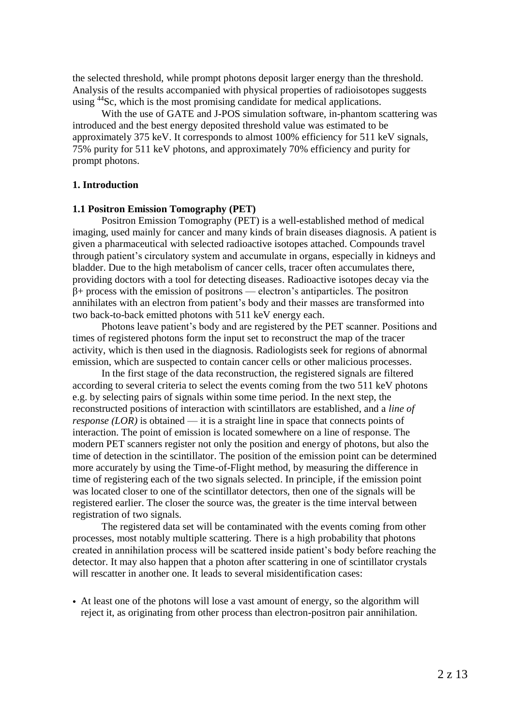the selected threshold, while prompt photons deposit larger energy than the threshold. Analysis of the results accompanied with physical properties of radioisotopes suggests using <sup>44</sup>Sc, which is the most promising candidate for medical applications.

With the use of GATE and J-POS simulation software, in-phantom scattering was introduced and the best energy deposited threshold value was estimated to be approximately 375 keV. It corresponds to almost 100% efficiency for 511 keV signals, 75% purity for 511 keV photons, and approximately 70% efficiency and purity for prompt photons.

#### **1. Introduction**

#### **1.1 Positron Emission Tomography (PET)**

Positron Emission Tomography (PET) is a well-established method of medical imaging, used mainly for cancer and many kinds of brain diseases diagnosis. A patient is given a pharmaceutical with selected radioactive isotopes attached. Compounds travel through patient's circulatory system and accumulate in organs, especially in kidneys and bladder. Due to the high metabolism of cancer cells, tracer often accumulates there, providing doctors with a tool for detecting diseases. Radioactive isotopes decay via the β+ process with the emission of positrons — electron's antiparticles. The positron annihilates with an electron from patient's body and their masses are transformed into two back-to-back emitted photons with 511 keV energy each.

Photons leave patient's body and are registered by the PET scanner. Positions and times of registered photons form the input set to reconstruct the map of the tracer activity, which is then used in the diagnosis. Radiologists seek for regions of abnormal emission, which are suspected to contain cancer cells or other malicious processes.

In the first stage of the data reconstruction, the registered signals are filtered according to several criteria to select the events coming from the two 511 keV photons e.g. by selecting pairs of signals within some time period. In the next step, the reconstructed positions of interaction with scintillators are established, and a *line of response (LOR)* is obtained — it is a straight line in space that connects points of interaction. The point of emission is located somewhere on a line of response. The modern PET scanners register not only the position and energy of photons, but also the time of detection in the scintillator. The position of the emission point can be determined more accurately by using the Time-of-Flight method, by measuring the difference in time of registering each of the two signals selected. In principle, if the emission point was located closer to one of the scintillator detectors, then one of the signals will be registered earlier. The closer the source was, the greater is the time interval between registration of two signals.

The registered data set will be contaminated with the events coming from other processes, most notably multiple scattering. There is a high probability that photons created in annihilation process will be scattered inside patient's body before reaching the detector. It may also happen that a photon after scattering in one of scintillator crystals will rescatter in another one. It leads to several misidentification cases:

• At least one of the photons will lose a vast amount of energy, so the algorithm will reject it, as originating from other process than electron-positron pair annihilation.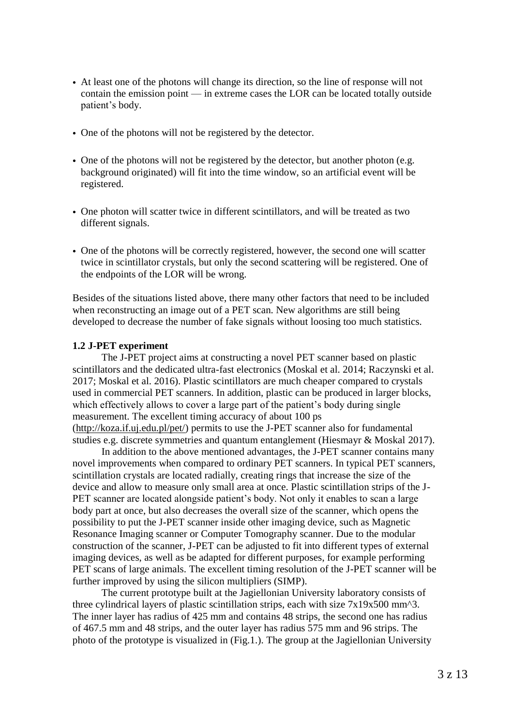- At least one of the photons will change its direction, so the line of response will not contain the emission point — in extreme cases the LOR can be located totally outside patient's body.
- One of the photons will not be registered by the detector.
- One of the photons will not be registered by the detector, but another photon (e.g. background originated) will fit into the time window, so an artificial event will be registered.
- One photon will scatter twice in different scintillators, and will be treated as two different signals.
- One of the photons will be correctly registered, however, the second one will scatter twice in scintillator crystals, but only the second scattering will be registered. One of the endpoints of the LOR will be wrong.

Besides of the situations listed above, there many other factors that need to be included when reconstructing an image out of a PET scan. New algorithms are still being developed to decrease the number of fake signals without loosing too much statistics.

#### **1.2 J-PET experiment**

The J-PET project aims at constructing a novel PET scanner based on plastic scintillators and the dedicated ultra-fast electronics (Moskal et al. 2014; Raczynski et al. 2017; Moskal et al. 2016). Plastic scintillators are much cheaper compared to crystals used in commercial PET scanners. In addition, plastic can be produced in larger blocks, which effectively allows to cover a large part of the patient's body during single measurement. The excellent timing accuracy of about 100 ps [\(http://koza.if.uj.edu.pl/pet/\)](http://koza.if.uj.edu.pl/pet/) permits to use the J-PET scanner also for fundamental studies e.g. discrete symmetries and quantum entanglement (Hiesmayr & Moskal 2017).

In addition to the above mentioned advantages, the J-PET scanner contains many novel improvements when compared to ordinary PET scanners. In typical PET scanners, scintillation crystals are located radially, creating rings that increase the size of the device and allow to measure only small area at once. Plastic scintillation strips of the J-PET scanner are located alongside patient's body. Not only it enables to scan a large body part at once, but also decreases the overall size of the scanner, which opens the possibility to put the J-PET scanner inside other imaging device, such as Magnetic Resonance Imaging scanner or Computer Tomography scanner. Due to the modular construction of the scanner, J-PET can be adjusted to fit into different types of external imaging devices, as well as be adapted for different purposes, for example performing PET scans of large animals. The excellent timing resolution of the J-PET scanner will be further improved by using the silicon multipliers (SIMP).

The current prototype built at the Jagiellonian University laboratory consists of three cylindrical layers of plastic scintillation strips, each with size 7x19x500 mm^3. The inner layer has radius of 425 mm and contains 48 strips, the second one has radius of 467.5 mm and 48 strips, and the outer layer has radius 575 mm and 96 strips. The photo of the prototype is visualized in (Fig.1.). The group at the Jagiellonian University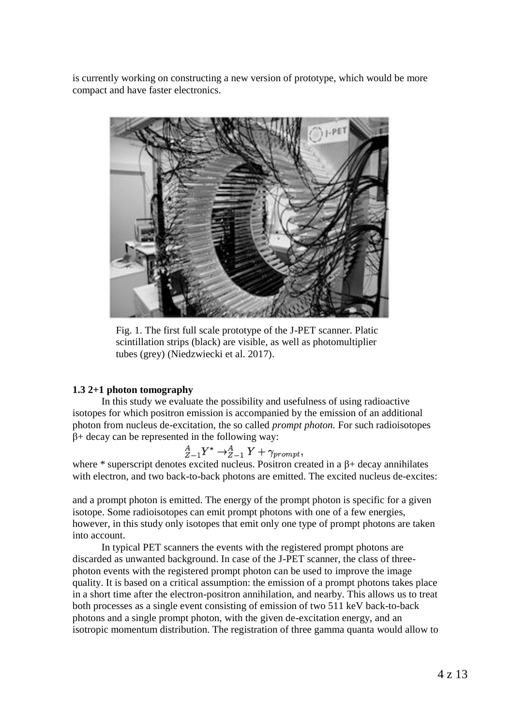is currently working on constructing a new version of prototype, which would be more compact and have faster electronics.



Fig. 1. The first full scale prototype of the J-PET scanner. Platic scintillation strips (black) are visible, as well as photomultiplier tubes (grey) (Niedzwiecki et al. 2017).

### **1.3 2+1 photon tomography**

In this study we evaluate the possibility and usefulness of using radioactive isotopes for which positron emission is accompanied by the emission of an additional photon from nucleus de-excitation, the so called *prompt photon.* For such radioisotopes  $β+$  decay can be represented in the following way:

$$
{}_{Z-1}^AY^* \rightarrow {}_{Z-1}^AY + \gamma_{prompt}
$$

where \* superscript denotes excited nucleus. Positron created in a  $\beta$ + decay annihilates with electron, and two back-to-back photons are emitted. The excited nucleus de-excites:

and a prompt photon is emitted. The energy of the prompt photon is specific for a given isotope. Some radioisotopes can emit prompt photons with one of a few energies, however, in this study only isotopes that emit only one type of prompt photons are taken into account.

In typical PET scanners the events with the registered prompt photons are discarded as unwanted background. In case of the J-PET scanner, the class of threephoton events with the registered prompt photon can be used to improve the image quality. It is based on a critical assumption: the emission of a prompt photons takes place in a short time after the electron-positron annihilation, and nearby. This allows us to treat both processes as a single event consisting of emission of two 511 keV back-to-back photons and a single prompt photon, with the given de-excitation energy, and an isotropic momentum distribution. The registration of three gamma quanta would allow to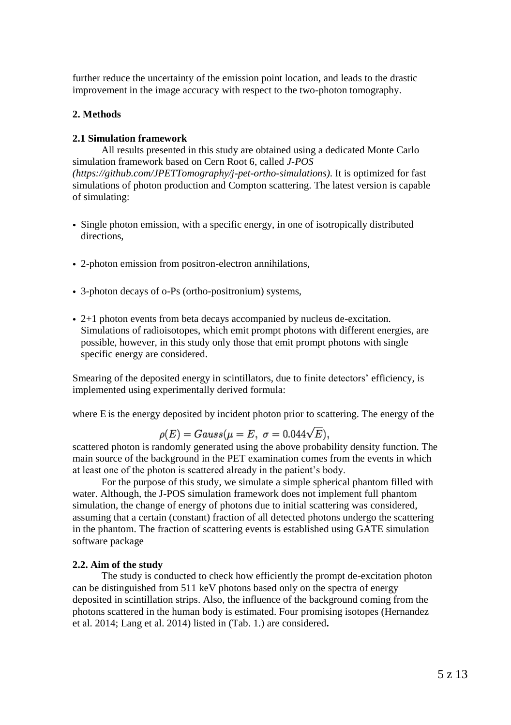further reduce the uncertainty of the emission point location, and leads to the drastic improvement in the image accuracy with respect to the two-photon tomography.

#### **2. Methods**

#### **2.1 Simulation framework**

All results presented in this study are obtained using a dedicated Monte Carlo simulation framework based on Cern Root 6, called *J-POS [\(https://github.com/JPETTomography/j-pet-ortho-simulations\)](https://github.com/JPETTomography/j-pet-ortho-simulations)*. It is optimized for fast simulations of photon production and Compton scattering. The latest version is capable of simulating:

- Single photon emission, with a specific energy, in one of isotropically distributed directions,
- 2-photon emission from positron-electron annihilations,
- 3-photon decays of o-Ps (ortho-positronium) systems,
- 2+1 photon events from beta decays accompanied by nucleus de-excitation. Simulations of radioisotopes, which emit prompt photons with different energies, are possible, however, in this study only those that emit prompt photons with single specific energy are considered.

Smearing of the deposited energy in scintillators, due to finite detectors' efficiency, is implemented using experimentally derived formula:

where E is the energy deposited by incident photon prior to scattering. The energy of the

$$
\rho(E) = Gauss(\mu = E, \ \sigma = 0.044\sqrt{E}),
$$

scattered photon is randomly generated using the above probability density function. The main source of the background in the PET examination comes from the events in which at least one of the photon is scattered already in the patient's body.

For the purpose of this study, we simulate a simple spherical phantom filled with water. Although, the J-POS simulation framework does not implement full phantom simulation, the change of energy of photons due to initial scattering was considered, assuming that a certain (constant) fraction of all detected photons undergo the scattering in the phantom. The fraction of scattering events is established using GATE simulation software package

#### **2.2. Aim of the study**

The study is conducted to check how efficiently the prompt de-excitation photon can be distinguished from 511 keV photons based only on the spectra of energy deposited in scintillation strips. Also, the influence of the background coming from the photons scattered in the human body is estimated. Four promising isotopes (Hernandez et al. 2014; Lang et al. 2014) listed in (Tab. 1.) are considered**.**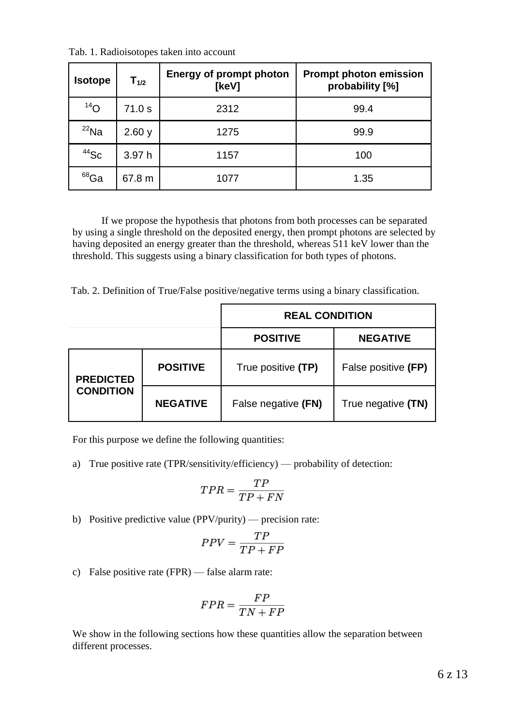| <b>Isotope</b>  | $T_{1/2}$ | <b>Energy of prompt photon</b><br>[keV] | <b>Prompt photon emission</b><br>probability [%] |
|-----------------|-----------|-----------------------------------------|--------------------------------------------------|
| 14 <sub>O</sub> | 71.0 s    | 2312                                    | 99.4                                             |
| $^{22}$ Na      | 2.60y     | 1275                                    | 99.9                                             |
| $44$ Sc         | 3.97 h    | 1157                                    | 100                                              |
| $^{68}$ Ga      | 67.8 m    | 1077                                    | 1.35                                             |

Tab. 1. Radioisotopes taken into account

If we propose the hypothesis that photons from both processes can be separated by using a single threshold on the deposited energy, then prompt photons are selected by having deposited an energy greater than the threshold, whereas 511 keV lower than the threshold. This suggests using a binary classification for both types of photons.

Tab. 2. Definition of True/False positive/negative terms using a binary classification.

|                  |                 | <b>REAL CONDITION</b> |                     |  |
|------------------|-----------------|-----------------------|---------------------|--|
|                  |                 | <b>POSITIVE</b>       | <b>NEGATIVE</b>     |  |
| <b>PREDICTED</b> | <b>POSITIVE</b> | True positive (TP)    | False positive (FP) |  |
| <b>CONDITION</b> | <b>NEGATIVE</b> | False negative (FN)   | True negative (TN)  |  |

For this purpose we define the following quantities:

a) True positive rate (TPR/sensitivity/efficiency) — probability of detection:

$$
TPR = \frac{TP}{TP+FN}
$$

b) Positive predictive value (PPV/purity) — precision rate:

$$
PPV = \frac{TP}{TP + FP}
$$

c) False positive rate (FPR) — false alarm rate:

$$
FPR = \frac{FP}{TN + FP}
$$

We show in the following sections how these quantities allow the separation between different processes.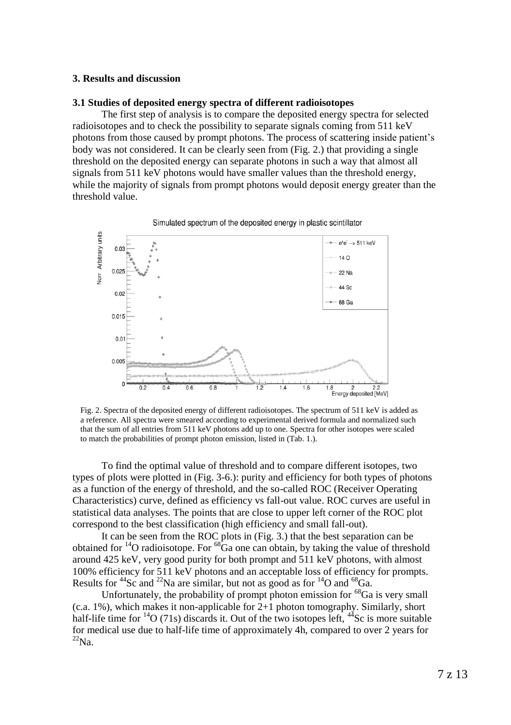#### **3. Results and discussion**

#### **3.1 Studies of deposited energy spectra of different radioisotopes**

The first step of analysis is to compare the deposited energy spectra for selected radioisotopes and to check the possibility to separate signals coming from 511 keV photons from those caused by prompt photons. The process of scattering inside patient's body was not considered. It can be clearly seen from (Fig. 2.) that providing a single threshold on the deposited energy can separate photons in such a way that almost all signals from 511 keV photons would have smaller values than the threshold energy, while the majority of signals from prompt photons would deposit energy greater than the threshold value.



Fig. 2. Spectra of the deposited energy of different radioisotopes. The spectrum of 511 keV is added as a reference. All spectra were smeared according to experimental derived formula and normalized such that the sum of all entries from 511 keV photons add up to one. Spectra for other isotopes were scaled to match the probabilities of prompt photon emission, listed in (Tab. 1.).

To find the optimal value of threshold and to compare different isotopes, two types of plots were plotted in (Fig. 3-6.): purity and efficiency for both types of photons as a function of the energy of threshold, and the so-called ROC (Receiver Operating Characteristics) curve, defined as efficiency vs fall-out value. ROC curves are useful in statistical data analyses. The points that are close to upper left corner of the ROC plot correspond to the best classification (high efficiency and small fall-out).

It can be seen from the ROC plots in (Fig. 3.) that the best separation can be obtained for  $14$ O radioisotope. For  $68\overline{G}$ a one can obtain, by taking the value of threshold around 425 keV, very good purity for both prompt and 511 keV photons, with almost 100% efficiency for 511 keV photons and an acceptable loss of efficiency for prompts. Results for  ${}^{44}$ Sc and  ${}^{22}$ Na are similar, but not as good as for  ${}^{14}$ O and  ${}^{68}$ Ga.

Unfortunately, the probability of prompt photon emission for  $^{68}Ga$  is very small (c.a. 1%), which makes it non-applicable for 2+1 photon tomography. Similarly, short half-life time for  $^{14}O(71s)$  discards it. Out of the two isotopes left,  $^{44}Sc$  is more suitable for medical use due to half-life time of approximately 4h, compared to over 2 years for  $^{22}$ Na.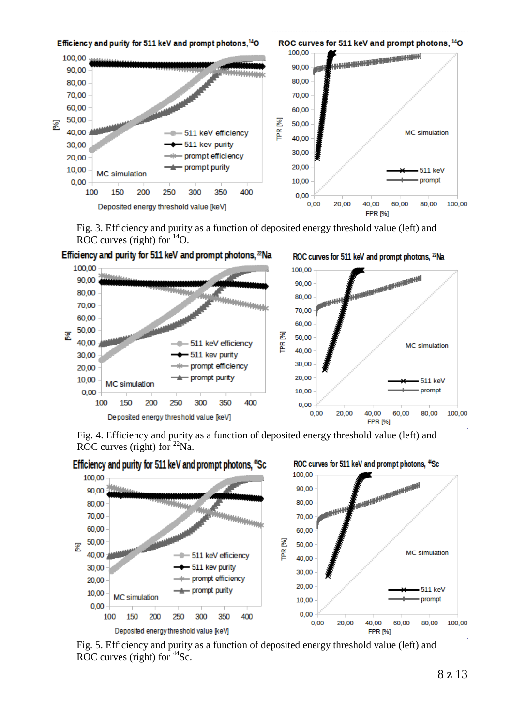

Fig. 3. Efficiency and purity as a function of deposited energy threshold value (left) and ROC curves (right) for  $^{14}$ O.



Efficiency and purity for 511 keV and prompt photons, <sup>22</sup>Na

Fig. 4. Efficiency and purity as a function of deposited energy threshold value (left) and ROC curves (right) for  $^{22}$ Na.



Fig. 5. Efficiency and purity as a function of deposited energy threshold value (left) and ROC curves (right) for  $^{44}$ Sc.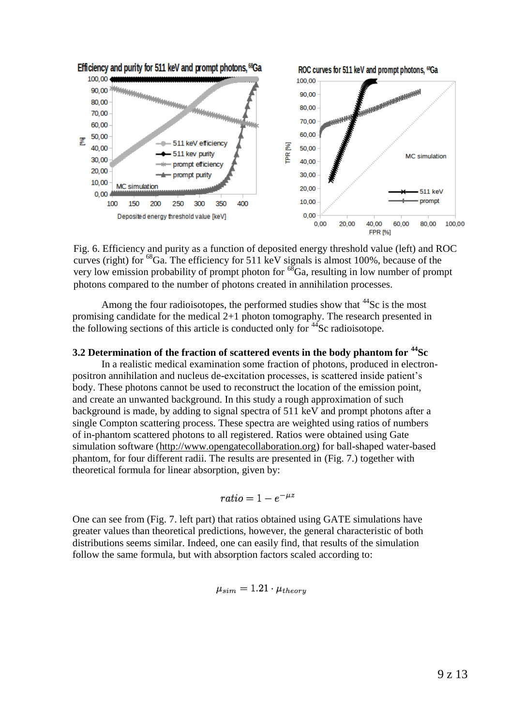

Fig. 6. Efficiency and purity as a function of deposited energy threshold value (left) and ROC curves (right) for <sup>68</sup>Ga. The efficiency for 511 keV signals is almost 100%, because of the very low emission probability of prompt photon for  $^{68}Ga$ , resulting in low number of prompt photons compared to the number of photons created in annihilation processes.

Among the four radioisotopes, the performed studies show that  $44$ Sc is the most promising candidate for the medical 2+1 photon tomography. The research presented in the following sections of this article is conducted only for  $44$ Sc radioisotope.

#### **3.2 Determination of the fraction of scattered events in the body phantom for <sup>44</sup>Sc**

In a realistic medical examination some fraction of photons, produced in electronpositron annihilation and nucleus de-excitation processes, is scattered inside patient's body. These photons cannot be used to reconstruct the location of the emission point, and create an unwanted background. In this study a rough approximation of such background is made, by adding to signal spectra of 511 keV and prompt photons after a single Compton scattering process. These spectra are weighted using ratios of numbers of in-phantom scattered photons to all registered. Ratios were obtained using Gate simulation software [\(http://www.opengatecollaboration.org\)](http://www.opengatecollaboration.org/) for ball-shaped water-based phantom, for four different radii. The results are presented in (Fig. 7.) together with theoretical formula for linear absorption, given by:

$$
ratio = 1 - e^{-\mu z}
$$

One can see from (Fig. 7. left part) that ratios obtained using GATE simulations have greater values than theoretical predictions, however, the general characteristic of both distributions seems similar. Indeed, one can easily find, that results of the simulation follow the same formula, but with absorption factors scaled according to:

$$
\mu_{sim}=1.21\cdot\mu_{theory}
$$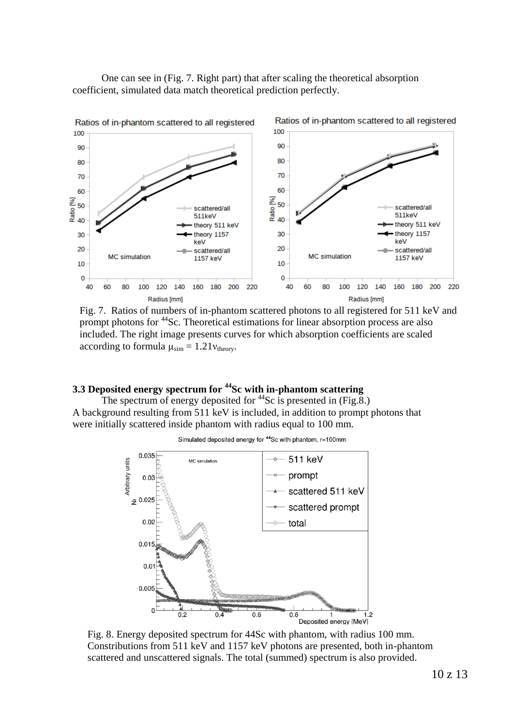One can see in (Fig. 7. Right part) that after scaling the theoretical absorption coefficient, simulated data match theoretical prediction perfectly.



Fig. 7. Ratios of numbers of in-phantom scattered photons to all registered for 511 keV and prompt photons for <sup>44</sup>Sc. Theoretical estimations for linear absorption process are also included. The right image presents curves for which absorption coefficients are scaled according to formula  $\mu_{sim} = 1.21 v_{theory}$ .

# **3.3 Deposited energy spectrum for <sup>44</sup>Sc with in-phantom scattering**

The spectrum of energy deposited for  $44$ Sc is presented in (Fig.8.) A background resulting from 511 keV is included, in addition to prompt photons that were initially scattered inside phantom with radius equal to 100 mm.



Simulated deposited energy for <sup>44</sup>Sc with phantom, r=100mm

Fig. 8. Energy deposited spectrum for 44Sc with phantom, with radius 100 mm. Constributions from 511 keV and 1157 keV photons are presented, both in-phantom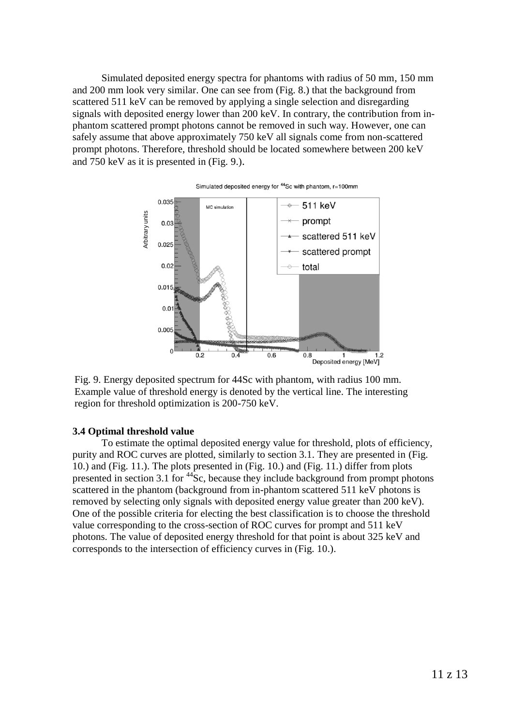Simulated deposited energy spectra for phantoms with radius of 50 mm, 150 mm and 200 mm look very similar. One can see from (Fig. 8.) that the background from scattered 511 keV can be removed by applying a single selection and disregarding signals with deposited energy lower than 200 keV. In contrary, the contribution from inphantom scattered prompt photons cannot be removed in such way. However, one can safely assume that above approximately 750 keV all signals come from non-scattered prompt photons. Therefore, threshold should be located somewhere between 200 keV and 750 keV as it is presented in (Fig. 9.).



#### Simulated deposited energy for <sup>44</sup>Sc with phantom, r=100mm

Fig. 9. Energy deposited spectrum for 44Sc with phantom, with radius 100 mm. Example value of threshold energy is denoted by the vertical line. The interesting

#### **3.4 Optimal threshold value**

To estimate the optimal deposited energy value for threshold, plots of efficiency, purity and ROC curves are plotted, similarly to section 3.1. They are presented in (Fig. 10.) and (Fig. 11.). The plots presented in (Fig. 10.) and (Fig. 11.) differ from plots presented in section 3.1 for  $44$ Sc, because they include background from prompt photons scattered in the phantom (background from in-phantom scattered 511 keV photons is removed by selecting only signals with deposited energy value greater than 200 keV). One of the possible criteria for electing the best classification is to choose the threshold value corresponding to the cross-section of ROC curves for prompt and 511 keV photons. The value of deposited energy threshold for that point is about 325 keV and corresponds to the intersection of efficiency curves in (Fig. 10.).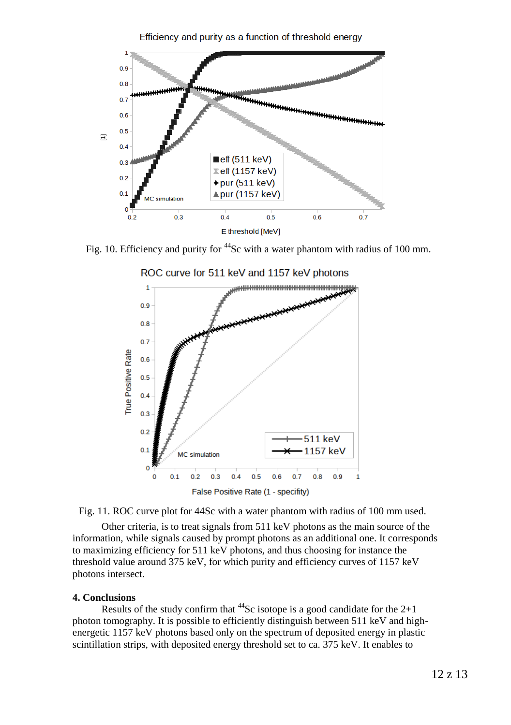

Fig. 10. Efficiency and purity for <sup>44</sup>Sc with a water phantom with radius of 100 mm.



Other criteria, is to treat signals from 511 keV photons as the main source of the information, while signals caused by prompt photons as an additional one. It corresponds to maximizing efficiency for 511 keV photons, and thus choosing for instance the threshold value around 375 keV, for which purity and efficiency curves of 1157 keV photons intersect.

#### **4. Conclusions**

Results of the study confirm that  $^{44}$ Sc isotope is a good candidate for the 2+1 photon tomography. It is possible to efficiently distinguish between 511 keV and highenergetic 1157 keV photons based only on the spectrum of deposited energy in plastic scintillation strips, with deposited energy threshold set to ca. 375 keV. It enables to